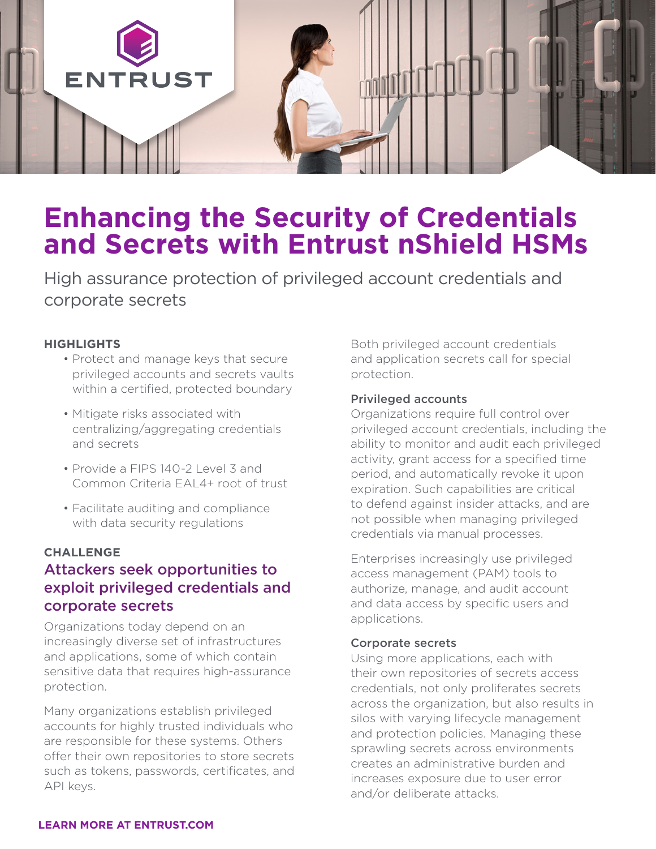

# **Enhancing the Security of Credentials and Secrets with Entrust nShield HSMs**

High assurance protection of privileged account credentials and corporate secrets

#### **HIGHLIGHTS**

- Protect and manage keys that secure privileged accounts and secrets vaults within a certified, protected boundary
- Mitigate risks associated with centralizing/aggregating credentials and secrets
- Provide a FIPS 140-2 Level 3 and Common Criteria EAL4+ root of trust
- Facilitate auditing and compliance with data security regulations

#### **CHALLENGE**

## Attackers seek opportunities to exploit privileged credentials and corporate secrets

Organizations today depend on an increasingly diverse set of infrastructures and applications, some of which contain sensitive data that requires high-assurance protection.

Many organizations establish privileged accounts for highly trusted individuals who are responsible for these systems. Others offer their own repositories to store secrets such as tokens, passwords, certificates, and API keys.

Both privileged account credentials and application secrets call for special protection.

#### Privileged accounts

Organizations require full control over privileged account credentials, including the ability to monitor and audit each privileged activity, grant access for a specified time period, and automatically revoke it upon expiration. Such capabilities are critical to defend against insider attacks, and are not possible when managing privileged credentials via manual processes.

Enterprises increasingly use privileged access management (PAM) tools to authorize, manage, and audit account and data access by specific users and applications.

#### Corporate secrets

Using more applications, each with their own repositories of secrets access credentials, not only proliferates secrets across the organization, but also results in silos with varying lifecycle management and protection policies. Managing these sprawling secrets across environments creates an administrative burden and increases exposure due to user error and/or deliberate attacks.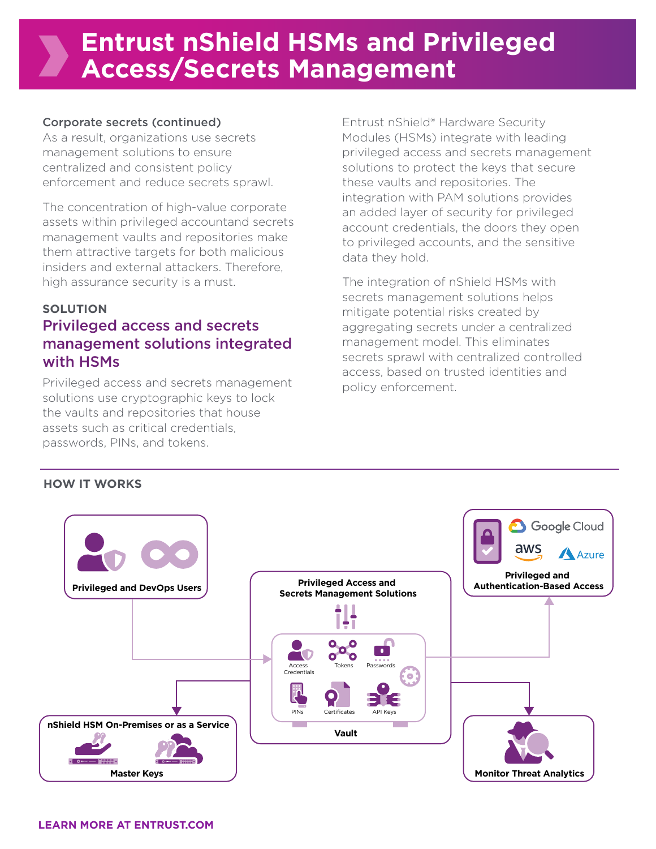# **Entrust nShield HSMs and Privileged Access/Secrets Management**

### Corporate secrets (continued)

As a result, organizations use secrets management solutions to ensure centralized and consistent policy enforcement and reduce secrets sprawl.

The concentration of high-value corporate assets within privileged accountand secrets management vaults and repositories make them attractive targets for both malicious insiders and external attackers. Therefore, high assurance security is a must.

### **SOLUTION**

## Privileged access and secrets management solutions integrated with HSMs

Privileged access and secrets management solutions use cryptographic keys to lock the vaults and repositories that house assets such as critical credentials, passwords, PINs, and tokens.

Entrust nShield® Hardware Security Modules (HSMs) integrate with leading privileged access and secrets management solutions to protect the keys that secure these vaults and repositories. The integration with PAM solutions provides an added layer of security for privileged account credentials, the doors they open to privileged accounts, and the sensitive data they hold.

The integration of nShield HSMs with secrets management solutions helps mitigate potential risks created by aggregating secrets under a centralized management model. This eliminates secrets sprawl with centralized controlled access, based on trusted identities and policy enforcement.

### **HOW IT WORKS**

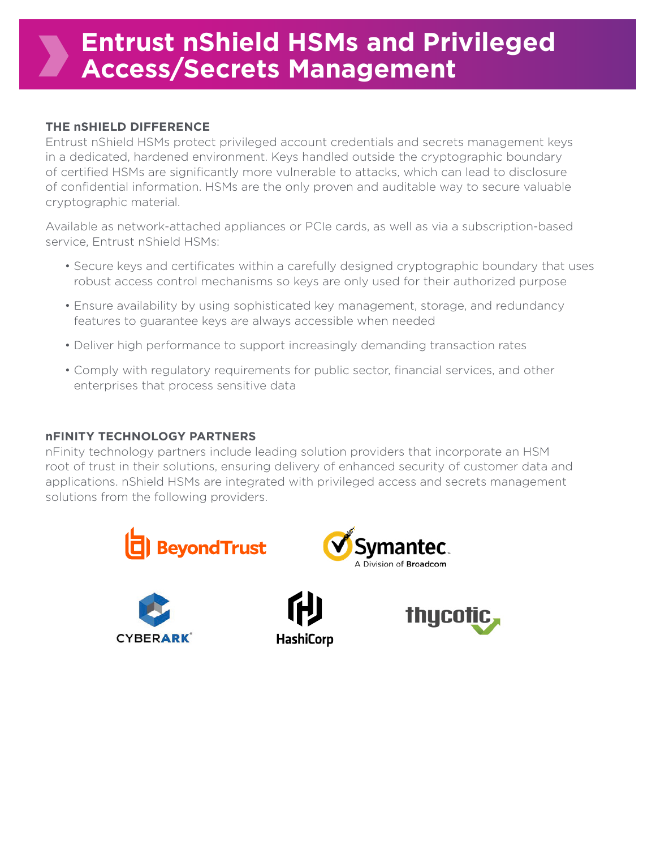# **Entrust nShield HSMs and Privileged Access/Secrets Management**

### **THE nSHIELD DIFFERENCE**

Entrust nShield HSMs protect privileged account credentials and secrets management keys in a dedicated, hardened environment. Keys handled outside the cryptographic boundary of certified HSMs are significantly more vulnerable to attacks, which can lead to disclosure of confidential information. HSMs are the only proven and auditable way to secure valuable cryptographic material.

Available as network-attached appliances or PCIe cards, as well as via a subscription-based service, Entrust nShield HSMs:

- Secure keys and certificates within a carefully designed cryptographic boundary that uses robust access control mechanisms so keys are only used for their authorized purpose
- Ensure availability by using sophisticated key management, storage, and redundancy features to guarantee keys are always accessible when needed
- Deliver high performance to support increasingly demanding transaction rates
- Comply with regulatory requirements for public sector, financial services, and other enterprises that process sensitive data

#### **nFINITY TECHNOLOGY PARTNERS**

nFinity technology partners include leading solution providers that incorporate an HSM root of trust in their solutions, ensuring delivery of enhanced security of customer data and applications. nShield HSMs are integrated with privileged access and secrets management solutions from the following providers.

**HashiCorp**